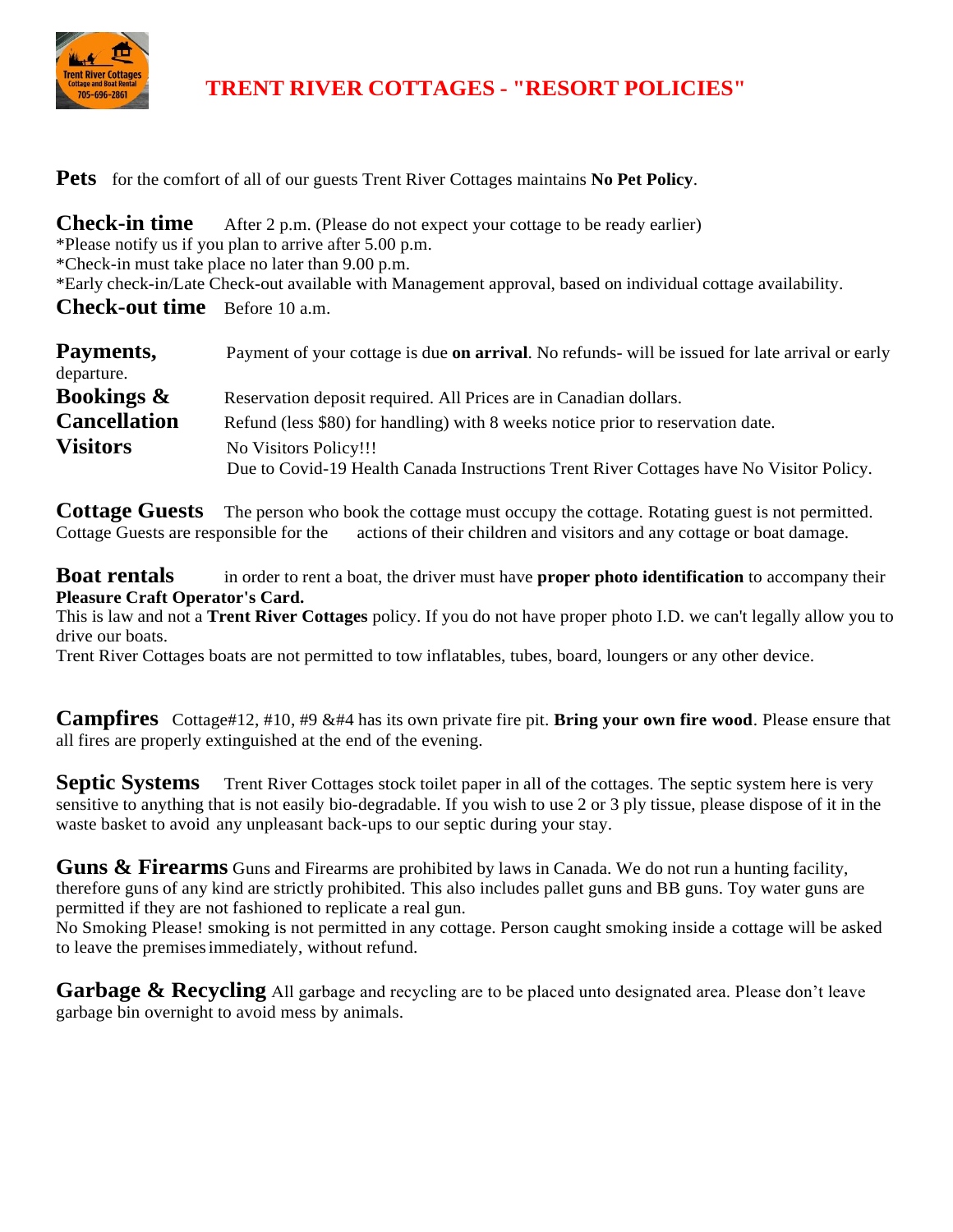

# **TRENT RIVER COTTAGES - "RESORT POLICIES"**

**Pets** for the comfort of all of our guests Trent River Cottages maintains **No Pet Policy**.

| <b>Check-in time</b>                 | After 2 p.m. (Please do not expect your cottage to be ready earlier)                                         |
|--------------------------------------|--------------------------------------------------------------------------------------------------------------|
|                                      | *Please notify us if you plan to arrive after 5.00 p.m.                                                      |
|                                      | *Check-in must take place no later than 9.00 p.m.                                                            |
|                                      | *Early check-in/Late Check-out available with Management approval, based on individual cottage availability. |
| <b>Check-out time</b> Before 10 a.m. |                                                                                                              |

| Payments,             | Payment of your cottage is due <b>on arrival</b> . No refunds- will be issued for late arrival or early |  |  |  |  |
|-----------------------|---------------------------------------------------------------------------------------------------------|--|--|--|--|
| departure.            |                                                                                                         |  |  |  |  |
| <b>Bookings &amp;</b> | Reservation deposit required. All Prices are in Canadian dollars.                                       |  |  |  |  |
| <b>Cancellation</b>   | Refund (less \$80) for handling) with 8 weeks notice prior to reservation date.                         |  |  |  |  |
| <b>Visitors</b>       | No Visitors Policy!!!                                                                                   |  |  |  |  |
|                       | Due to Covid-19 Health Canada Instructions Trent River Cottages have No Visitor Policy.                 |  |  |  |  |

**Cottage Guests** The person who book the cottage must occupy the cottage. Rotating guest is not permitted. Cottage Guests are responsible for the actions of their children and visitors and any cottage or boat damage.

**Boat rentals** in order to rent a boat, the driver must have **proper photo identification** to accompany their **Pleasure Craft Operator's Card.**

This is law and not a **Trent River Cottages** policy. If you do not have proper photo I.D. we can't legally allow you to drive our boats.

Trent River Cottages boats are not permitted to tow inflatables, tubes, board, loungers or any other device.

**Campfires** Cottage#12, #10, #9 &#4 has its own private fire pit. **Bring your own fire wood**. Please ensure that all fires are properly extinguished at the end of the evening.

**Septic Systems** Trent River Cottages stock toilet paper in all of the cottages. The septic system here is very sensitive to anything that is not easily bio-degradable. If you wish to use 2 or 3 ply tissue, please dispose of it in the waste basket to avoid any unpleasant back-ups to our septic during your stay.

**Guns & Firearms** Guns and Firearms are prohibited by laws in Canada. We do not run a hunting facility, therefore guns of any kind are strictly prohibited. This also includes pallet guns and BB guns. Toy water guns are permitted if they are not fashioned to replicate a real gun.

No Smoking Please! smoking is not permitted in any cottage. Person caught smoking inside a cottage will be asked to leave the premisesimmediately, without refund.

**Garbage & Recycling** All garbage and recycling are to be placed unto designated area. Please don't leave garbage bin overnight to avoid mess by animals.